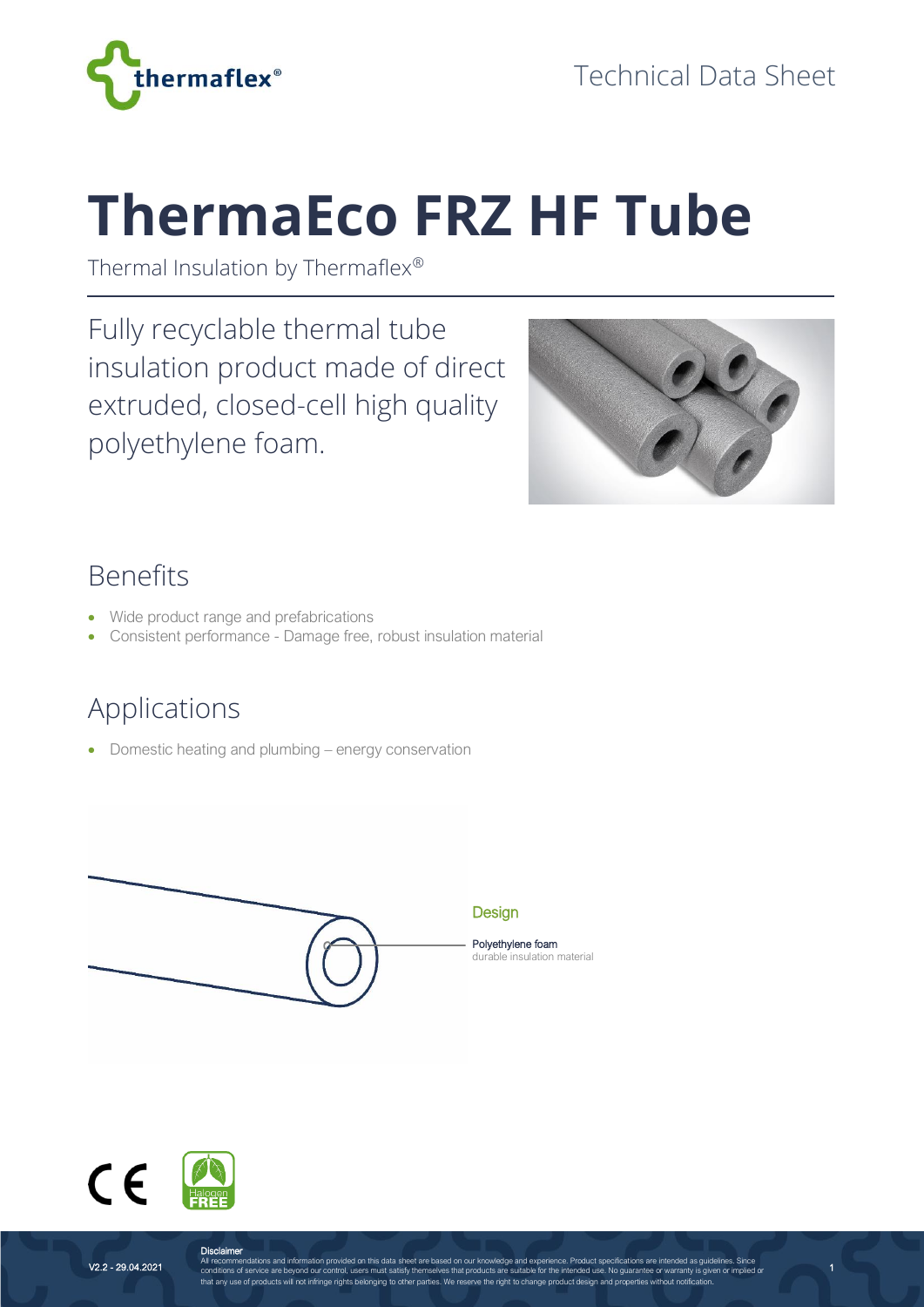

# **ThermaEco FRZ HF Tube**

Thermal Insulation by Thermaflex®

Fully recyclable thermal tube insulation product made of direct extruded, closed-cell high quality polyethylene foam.



1

#### Benefits

- Wide product range and prefabrications
- Consistent performance Damage free, robust insulation material

## Applications

• Domestic heating and plumbing – energy conservation